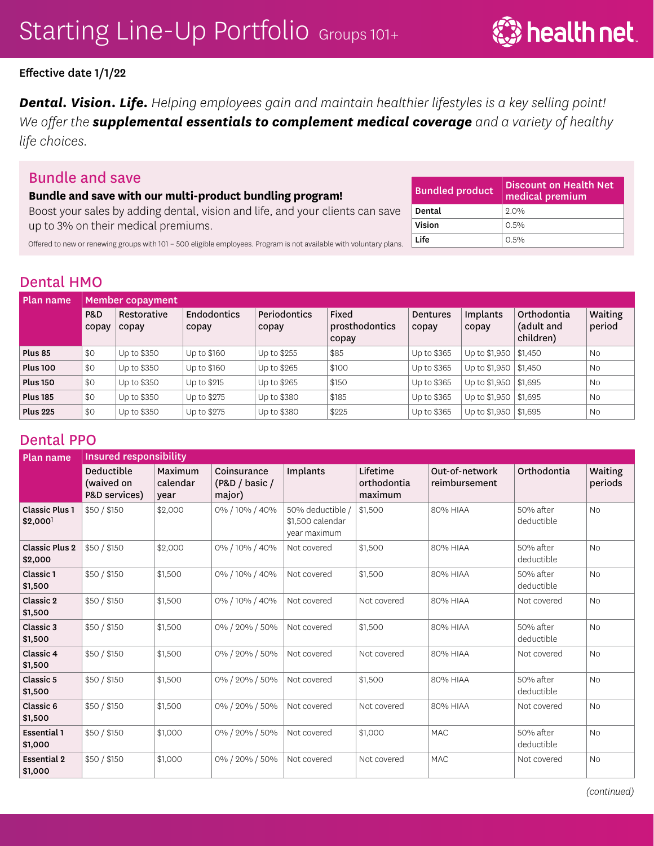### Effective date 1/1/22

*Dental. Vision. Life. Helping employees gain and maintain healthier lifestyles is a key selling point! We ofer the supplemental essentials to complement medical coverage and a variety of healthy life choices.* 

# Bundle and save

#### **Bundle and save with our multi-product bundling program!**

Boost your sales by adding dental, vision and life, and your clients can save up to 3% on their medical premiums.

| <b>Bundled product</b> | <b>Discount on Health Net</b><br>medical premium |
|------------------------|--------------------------------------------------|
| Dental                 | 20%                                              |
| Vision                 | $0.5\%$                                          |
| Life                   | $0.5\%$                                          |

Ofered to new or renewing groups with 101 – 500 eligible employees. Program is not available with voluntary plans.

# Dental HMO

| Plan name       | <b>Member copayment</b> |                      |                             |                       |                                  |                          |                         |                                        |                   |  |
|-----------------|-------------------------|----------------------|-----------------------------|-----------------------|----------------------------------|--------------------------|-------------------------|----------------------------------------|-------------------|--|
|                 | P&D<br>copay            | Restorative<br>copay | <b>Endodontics</b><br>copay | Periodontics<br>copay | Fixed<br>prosthodontics<br>copay | <b>Dentures</b><br>copay | Implants<br>copay       | Orthodontia<br>(adult and<br>children) | Waiting<br>period |  |
| Plus 85         | \$0                     | Up to \$350          | Up to \$160                 | Up to \$255           | \$85                             | Up to \$365              | Up to \$1,950           | \$1,450                                | <b>No</b>         |  |
| <b>Plus 100</b> | \$0                     | Up to \$350          | Up to \$160                 | Up to \$265           | \$100                            | Up to \$365              | Up to $$1,950$ $$1,450$ |                                        | <b>No</b>         |  |
| <b>Plus 150</b> | \$0                     | Up to \$350          | Up to \$215                 | Up to \$265           | \$150                            | Up to \$365              | Up to \$1,950           | \$1,695                                | <b>No</b>         |  |
| <b>Plus 185</b> | \$0                     | Up to \$350          | Up to \$275                 | Up to \$380           | \$185                            | Up to \$365              | Up to \$1,950           | \$1,695                                | <b>No</b>         |  |
| <b>Plus 225</b> | \$0                     | Up to \$350          | Up to \$275                 | Up to \$380           | \$225                            | Up to \$365              | Up to $$1,950$          | \$1,695                                | <b>No</b>         |  |

# Dental PPO

| Plan name                                      | <b>Insured responsibility</b>             |                             |                                         |                                                      |                                    |                                 |                         |                    |  |  |
|------------------------------------------------|-------------------------------------------|-----------------------------|-----------------------------------------|------------------------------------------------------|------------------------------------|---------------------------------|-------------------------|--------------------|--|--|
|                                                | Deductible<br>(waived on<br>P&D services) | Maximum<br>calendar<br>vear | Coinsurance<br>(P&D / basic /<br>major) | Implants                                             | Lifetime<br>orthodontia<br>maximum | Out-of-network<br>reimbursement | Orthodontia             | Waiting<br>periods |  |  |
| <b>Classic Plus 1</b><br>$$2,000$ <sup>1</sup> | \$50 / \$150                              | \$2,000                     | 0% / 10% / 40%                          | 50% deductible /<br>\$1,500 calendar<br>year maximum | \$1,500                            | 80% HIAA                        | 50% after<br>deductible | <b>No</b>          |  |  |
| <b>Classic Plus 2</b><br>\$2,000               | \$50/\$150                                | \$2,000                     | 0% / 10% / 40%                          | Not covered                                          | \$1,500                            | 80% HIAA                        | 50% after<br>deductible | <b>No</b>          |  |  |
| Classic 1<br>\$1,500                           | \$50/\$150                                | \$1,500                     | 0% / 10% / 40%                          | Not covered                                          | \$1,500                            | 80% HIAA                        | 50% after<br>deductible | <b>No</b>          |  |  |
| Classic 2<br>\$1,500                           | \$50/\$150                                | \$1,500                     | 0% / 10% / 40%                          | Not covered                                          | Not covered                        | 80% HIAA                        | Not covered             | <b>No</b>          |  |  |
| Classic 3<br>\$1,500                           | \$50/\$150                                | \$1,500                     | 0% / 20% / 50%                          | Not covered                                          | \$1,500                            | 80% HIAA                        | 50% after<br>deductible | <b>No</b>          |  |  |
| Classic 4<br>\$1,500                           | \$50/\$150                                | \$1,500                     | 0% / 20% / 50%                          | Not covered                                          | Not covered                        | 80% HIAA                        | Not covered             | <b>No</b>          |  |  |
| Classic 5<br>\$1,500                           | \$50/\$150                                | \$1,500                     | 0% / 20% / 50%                          | Not covered                                          | \$1,500                            | 80% HIAA                        | 50% after<br>deductible | <b>No</b>          |  |  |
| Classic 6<br>\$1,500                           | \$50/\$150                                | \$1,500                     | 0% / 20% / 50%                          | Not covered                                          | Not covered                        | 80% HIAA                        | Not covered             | <b>No</b>          |  |  |
| <b>Essential 1</b><br>\$1,000                  | \$50/\$150                                | \$1,000                     | 0% / 20% / 50%                          | Not covered                                          | \$1,000                            | <b>MAC</b>                      | 50% after<br>deductible | <b>No</b>          |  |  |
| <b>Essential 2</b><br>\$1,000                  | \$50/\$150                                | \$1,000                     | 0% / 20% / 50%                          | Not covered                                          | Not covered                        | <b>MAC</b>                      | Not covered             | <b>No</b>          |  |  |